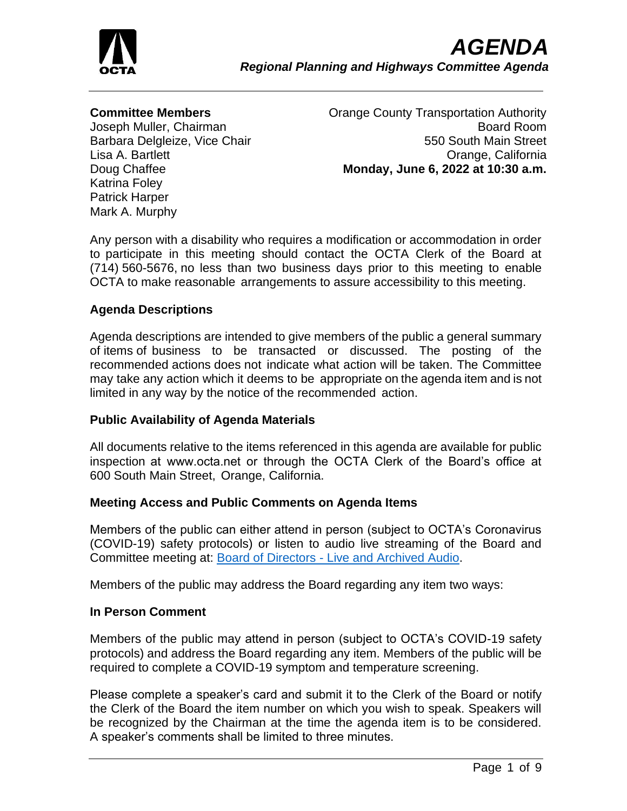

### **Committee Members**

Joseph Muller, Chairman Barbara Delgleize, Vice Chair Lisa A. Bartlett Doug Chaffee Katrina Foley Patrick Harper Mark A. Murphy

Orange County Transportation Authority Board Room 550 South Main Street Orange, California **Monday, June 6, 2022 at 10:30 a.m.**

Any person with a disability who requires a modification or accommodation in order to participate in this meeting should contact the OCTA Clerk of the Board at (714) 560-5676, no less than two business days prior to this meeting to enable OCTA to make reasonable arrangements to assure accessibility to this meeting.

### **Agenda Descriptions**

Agenda descriptions are intended to give members of the public a general summary of items of business to be transacted or discussed. The posting of the recommended actions does not indicate what action will be taken. The Committee may take any action which it deems to be appropriate on the agenda item and is not limited in any way by the notice of the recommended action.

### **Public Availability of Agenda Materials**

All documents relative to the items referenced in this agenda are available for public inspection at www.octa.net or through the OCTA Clerk of the Board's office at 600 South Main Street, Orange, California.

### **Meeting Access and Public Comments on Agenda Items**

Members of the public can either attend in person (subject to OCTA's Coronavirus (COVID-19) safety protocols) or listen to audio live streaming of the Board and Committee meeting at: Board of Directors - [Live and Archived Audio.](http://www.octa.net/About-OCTA/Who-We-Are/Board-of-Directors/Live-and-Archived-Audio/)

Members of the public may address the Board regarding any item two ways:

### **In Person Comment**

Members of the public may attend in person (subject to OCTA's COVID-19 safety protocols) and address the Board regarding any item. Members of the public will be required to complete a COVID-19 symptom and temperature screening.

Please complete a speaker's card and submit it to the Clerk of the Board or notify the Clerk of the Board the item number on which you wish to speak. Speakers will be recognized by the Chairman at the time the agenda item is to be considered. A speaker's comments shall be limited to three minutes.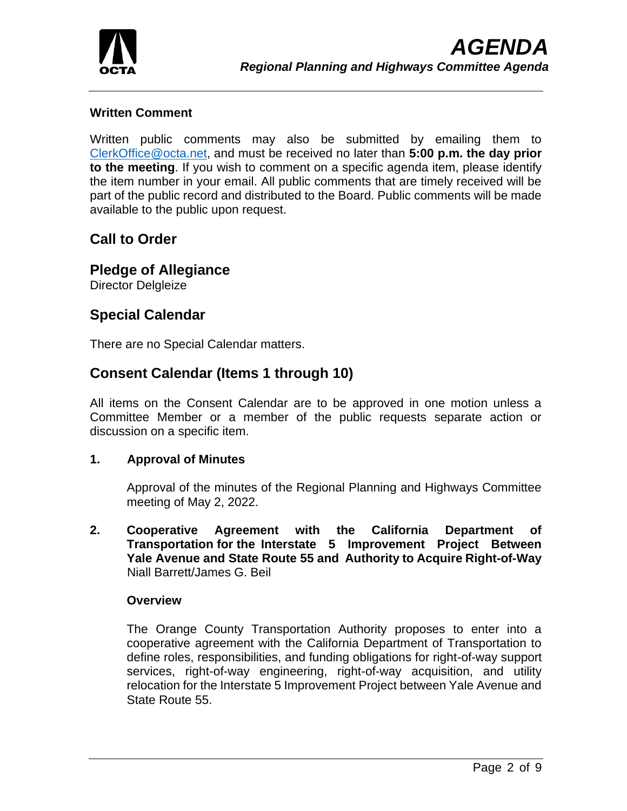

### **Written Comment**

Written public comments may also be submitted by emailing them to [ClerkOffice@octa.net,](mailto:ClerkOffice@octa.net) and must be received no later than **5:00 p.m. the day prior to the meeting**. If you wish to comment on a specific agenda item, please identify the item number in your email. All public comments that are timely received will be part of the public record and distributed to the Board. Public comments will be made available to the public upon request.

# **Call to Order**

# **Pledge of Allegiance**

Director Delgleize

# **Special Calendar**

There are no Special Calendar matters.

# **Consent Calendar (Items 1 through 10)**

All items on the Consent Calendar are to be approved in one motion unless a Committee Member or a member of the public requests separate action or discussion on a specific item.

### **1. Approval of Minutes**

Approval of the minutes of the Regional Planning and Highways Committee meeting of May 2, 2022.

**2. Cooperative Agreement with the California Department of Transportation for the Interstate 5 Improvement Project Between Yale Avenue and State Route 55 and Authority to Acquire Right-of-Way** Niall Barrett/James G. Beil

### **Overview**

The Orange County Transportation Authority proposes to enter into a cooperative agreement with the California Department of Transportation to define roles, responsibilities, and funding obligations for right-of-way support services, right-of-way engineering, right-of-way acquisition, and utility relocation for the Interstate 5 Improvement Project between Yale Avenue and State Route 55.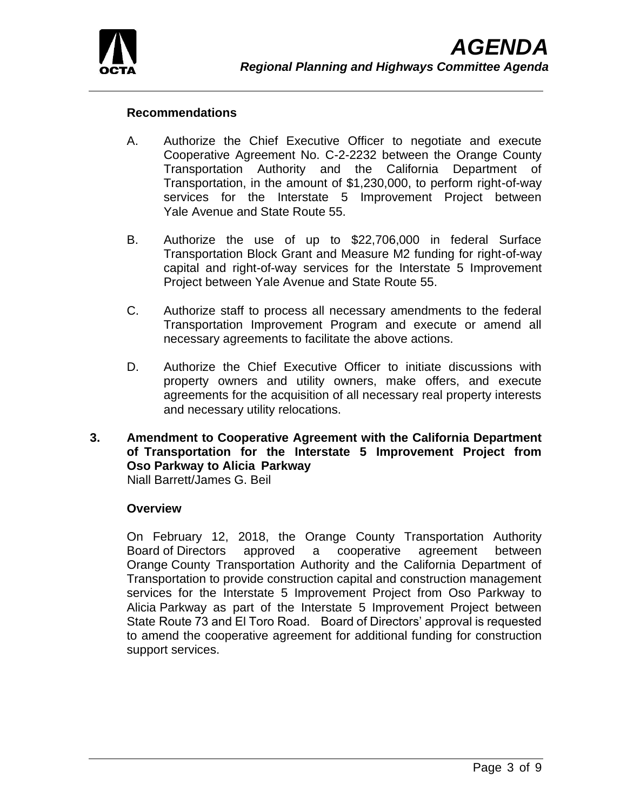

### **Recommendations**

- A. Authorize the Chief Executive Officer to negotiate and execute Cooperative Agreement No. C-2-2232 between the Orange County Transportation Authority and the California Department of Transportation, in the amount of \$1,230,000, to perform right-of-way services for the Interstate 5 Improvement Project between Yale Avenue and State Route 55.
- B. Authorize the use of up to \$22,706,000 in federal Surface Transportation Block Grant and Measure M2 funding for right-of-way capital and right-of-way services for the Interstate 5 Improvement Project between Yale Avenue and State Route 55.
- C. Authorize staff to process all necessary amendments to the federal Transportation Improvement Program and execute or amend all necessary agreements to facilitate the above actions.
- D. Authorize the Chief Executive Officer to initiate discussions with property owners and utility owners, make offers, and execute agreements for the acquisition of all necessary real property interests and necessary utility relocations.

# **3. Amendment to Cooperative Agreement with the California Department of Transportation for the Interstate 5 Improvement Project from Oso Parkway to Alicia Parkway**

Niall Barrett/James G. Beil

### **Overview**

On February 12, 2018, the Orange County Transportation Authority Board of Directors approved a cooperative agreement between Orange County Transportation Authority and the California Department of Transportation to provide construction capital and construction management services for the Interstate 5 Improvement Project from Oso Parkway to Alicia Parkway as part of the Interstate 5 Improvement Project between State Route 73 and El Toro Road. Board of Directors' approval is requested to amend the cooperative agreement for additional funding for construction support services.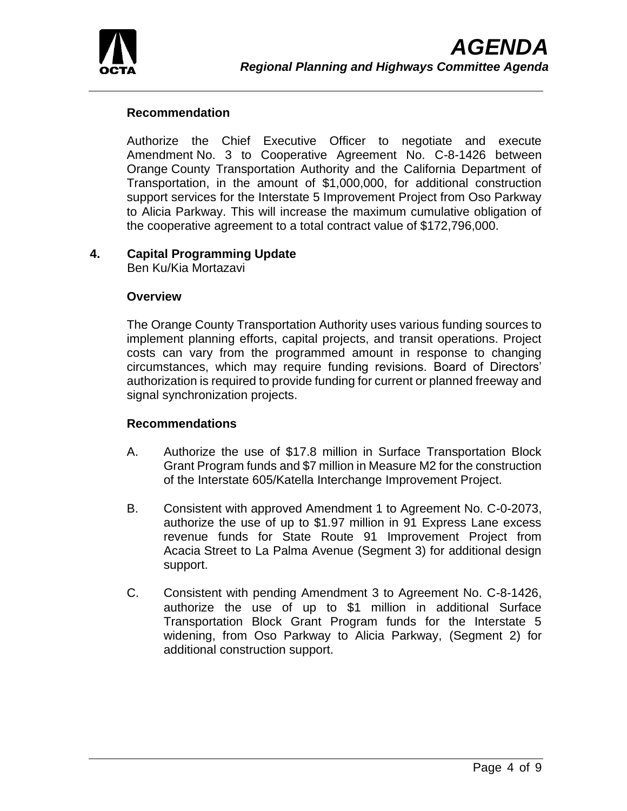

## **Recommendation**

Authorize the Chief Executive Officer to negotiate and execute Amendment No. 3 to Cooperative Agreement No. C-8-1426 between Orange County Transportation Authority and the California Department of Transportation, in the amount of \$1,000,000, for additional construction support services for the Interstate 5 Improvement Project from Oso Parkway to Alicia Parkway. This will increase the maximum cumulative obligation of the cooperative agreement to a total contract value of \$172,796,000.

## **4. Capital Programming Update**

Ben Ku/Kia Mortazavi

### **Overview**

The Orange County Transportation Authority uses various funding sources to implement planning efforts, capital projects, and transit operations. Project costs can vary from the programmed amount in response to changing circumstances, which may require funding revisions. Board of Directors' authorization is required to provide funding for current or planned freeway and signal synchronization projects.

### **Recommendations**

- A. Authorize the use of \$17.8 million in Surface Transportation Block Grant Program funds and \$7 million in Measure M2 for the construction of the Interstate 605/Katella Interchange Improvement Project.
- B. Consistent with approved Amendment 1 to Agreement No. C-0-2073, authorize the use of up to \$1.97 million in 91 Express Lane excess revenue funds for State Route 91 Improvement Project from Acacia Street to La Palma Avenue (Segment 3) for additional design support.
- C. Consistent with pending Amendment 3 to Agreement No. C-8-1426, authorize the use of up to \$1 million in additional Surface Transportation Block Grant Program funds for the Interstate 5 widening, from Oso Parkway to Alicia Parkway, (Segment 2) for additional construction support.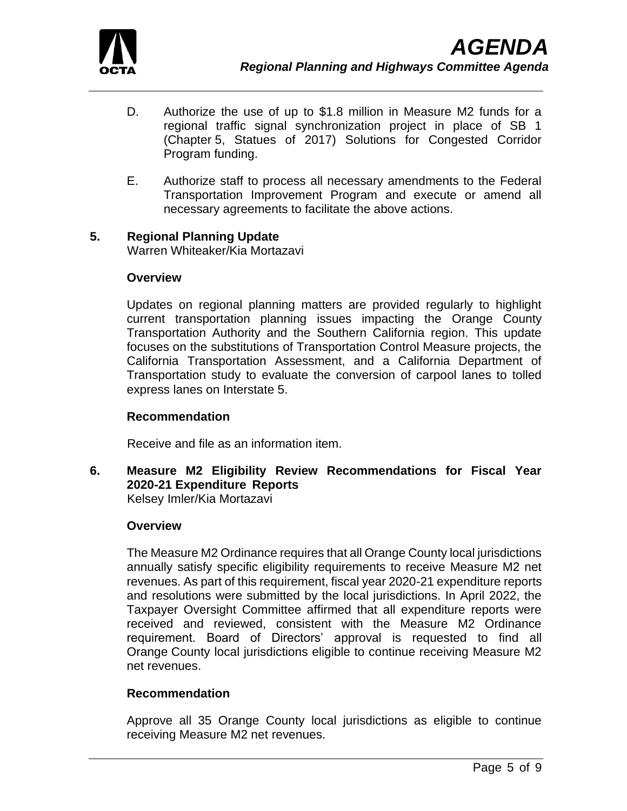

- D. Authorize the use of up to \$1.8 million in Measure M2 funds for a regional traffic signal synchronization project in place of SB 1 (Chapter 5, Statues of 2017) Solutions for Congested Corridor Program funding.
- E. Authorize staff to process all necessary amendments to the Federal Transportation Improvement Program and execute or amend all necessary agreements to facilitate the above actions.

#### **5. Regional Planning Update**

Warren Whiteaker/Kia Mortazavi

#### **Overview**

Updates on regional planning matters are provided regularly to highlight current transportation planning issues impacting the Orange County Transportation Authority and the Southern California region. This update focuses on the substitutions of Transportation Control Measure projects, the California Transportation Assessment, and a California Department of Transportation study to evaluate the conversion of carpool lanes to tolled express lanes on Interstate 5.

### **Recommendation**

Receive and file as an information item.

**6. Measure M2 Eligibility Review Recommendations for Fiscal Year 2020-21 Expenditure Reports** Kelsey Imler/Kia Mortazavi

#### **Overview**

The Measure M2 Ordinance requires that all Orange County local jurisdictions annually satisfy specific eligibility requirements to receive Measure M2 net revenues. As part of this requirement, fiscal year 2020-21 expenditure reports and resolutions were submitted by the local jurisdictions. In April 2022, the Taxpayer Oversight Committee affirmed that all expenditure reports were received and reviewed, consistent with the Measure M2 Ordinance requirement. Board of Directors' approval is requested to find all Orange County local jurisdictions eligible to continue receiving Measure M2 net revenues.

### **Recommendation**

Approve all 35 Orange County local jurisdictions as eligible to continue receiving Measure M2 net revenues.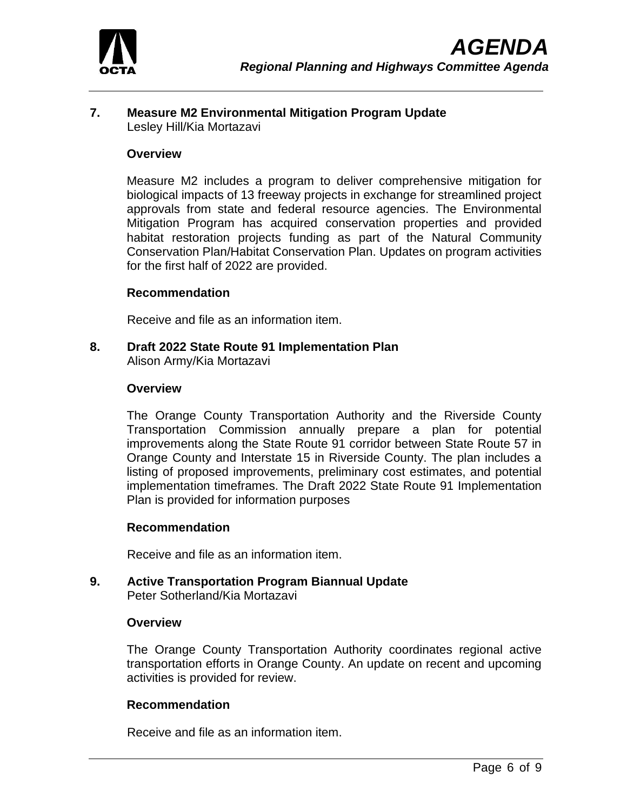

## **7. Measure M2 Environmental Mitigation Program Update** Lesley Hill/Kia Mortazavi

#### **Overview**

Measure M2 includes a program to deliver comprehensive mitigation for biological impacts of 13 freeway projects in exchange for streamlined project approvals from state and federal resource agencies. The Environmental Mitigation Program has acquired conservation properties and provided habitat restoration projects funding as part of the Natural Community Conservation Plan/Habitat Conservation Plan. Updates on program activities for the first half of 2022 are provided.

#### **Recommendation**

Receive and file as an information item.

**8. Draft 2022 State Route 91 Implementation Plan** Alison Army/Kia Mortazavi

#### **Overview**

The Orange County Transportation Authority and the Riverside County Transportation Commission annually prepare a plan for potential improvements along the State Route 91 corridor between State Route 57 in Orange County and Interstate 15 in Riverside County. The plan includes a listing of proposed improvements, preliminary cost estimates, and potential implementation timeframes. The Draft 2022 State Route 91 Implementation Plan is provided for information purposes

#### **Recommendation**

Receive and file as an information item.

**9. Active Transportation Program Biannual Update** Peter Sotherland/Kia Mortazavi

#### **Overview**

The Orange County Transportation Authority coordinates regional active transportation efforts in Orange County. An update on recent and upcoming activities is provided for review.

#### **Recommendation**

Receive and file as an information item.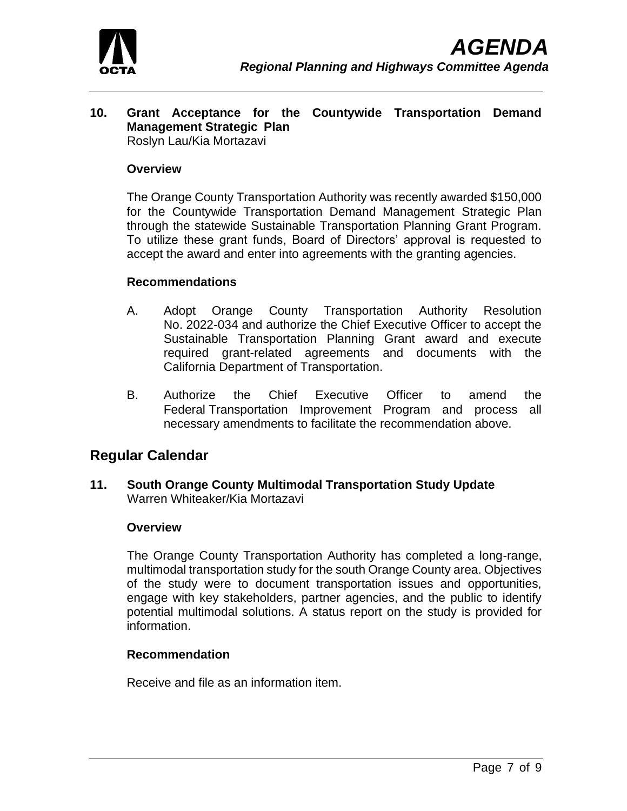

#### **10. Grant Acceptance for the Countywide Transportation Demand Management Strategic Plan** Roslyn Lau/Kia Mortazavi

#### **Overview**

The Orange County Transportation Authority was recently awarded \$150,000 for the Countywide Transportation Demand Management Strategic Plan through the statewide Sustainable Transportation Planning Grant Program. To utilize these grant funds, Board of Directors' approval is requested to accept the award and enter into agreements with the granting agencies.

#### **Recommendations**

- A. Adopt Orange County Transportation Authority Resolution No. 2022-034 and authorize the Chief Executive Officer to accept the Sustainable Transportation Planning Grant award and execute required grant-related agreements and documents with the California Department of Transportation.
- B. Authorize the Chief Executive Officer to amend the Federal Transportation Improvement Program and process all necessary amendments to facilitate the recommendation above.

# **Regular Calendar**

**11. South Orange County Multimodal Transportation Study Update** Warren Whiteaker/Kia Mortazavi

#### **Overview**

The Orange County Transportation Authority has completed a long-range, multimodal transportation study for the south Orange County area. Objectives of the study were to document transportation issues and opportunities, engage with key stakeholders, partner agencies, and the public to identify potential multimodal solutions. A status report on the study is provided for information.

### **Recommendation**

Receive and file as an information item.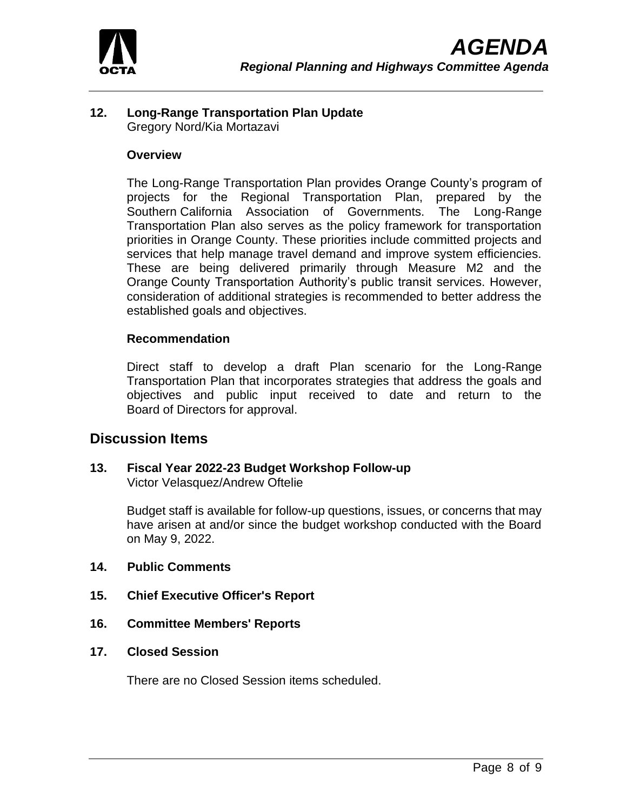

## **12. Long-Range Transportation Plan Update** Gregory Nord/Kia Mortazavi

### **Overview**

The Long-Range Transportation Plan provides Orange County's program of projects for the Regional Transportation Plan, prepared by the Southern California Association of Governments. The Long-Range Transportation Plan also serves as the policy framework for transportation priorities in Orange County. These priorities include committed projects and services that help manage travel demand and improve system efficiencies. These are being delivered primarily through Measure M2 and the Orange County Transportation Authority's public transit services. However, consideration of additional strategies is recommended to better address the established goals and objectives.

### **Recommendation**

Direct staff to develop a draft Plan scenario for the Long-Range Transportation Plan that incorporates strategies that address the goals and objectives and public input received to date and return to the Board of Directors for approval.

# **Discussion Items**

**13. Fiscal Year 2022-23 Budget Workshop Follow-up** Victor Velasquez/Andrew Oftelie

> Budget staff is available for follow-up questions, issues, or concerns that may have arisen at and/or since the budget workshop conducted with the Board on May 9, 2022.

- **14. Public Comments**
- **15. Chief Executive Officer's Report**
- **16. Committee Members' Reports**
- **17. Closed Session**

There are no Closed Session items scheduled.